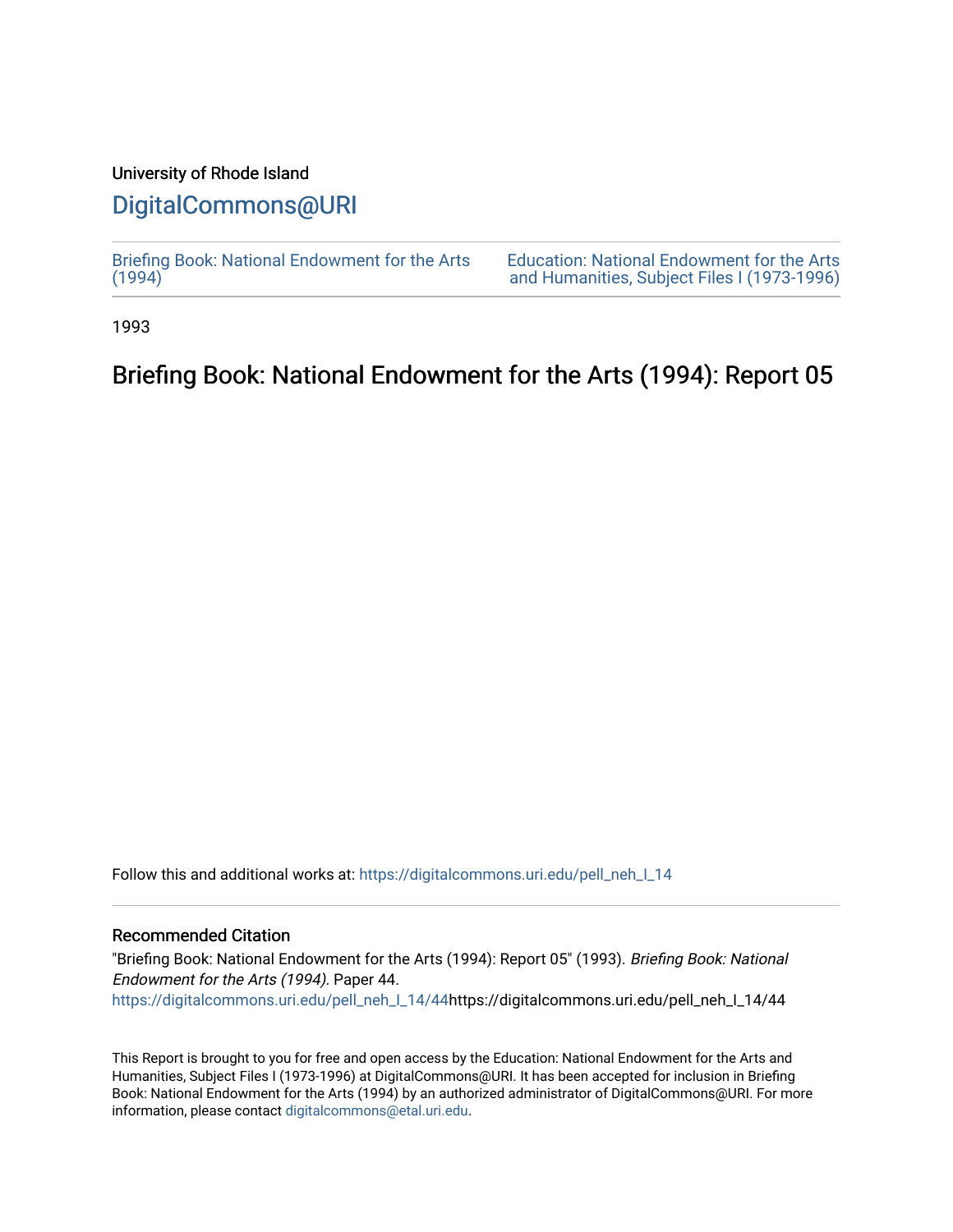### University of Rhode Island

## [DigitalCommons@URI](https://digitalcommons.uri.edu/)

[Briefing Book: National Endowment for the Arts](https://digitalcommons.uri.edu/pell_neh_I_14)  $(1994)$ 

[Education: National Endowment for the Arts](https://digitalcommons.uri.edu/pell_neh_I)  [and Humanities, Subject Files I \(1973-1996\)](https://digitalcommons.uri.edu/pell_neh_I) 

1993

## Briefing Book: National Endowment for the Arts (1994): Report 05

Follow this and additional works at: [https://digitalcommons.uri.edu/pell\\_neh\\_I\\_14](https://digitalcommons.uri.edu/pell_neh_I_14?utm_source=digitalcommons.uri.edu%2Fpell_neh_I_14%2F44&utm_medium=PDF&utm_campaign=PDFCoverPages) 

#### Recommended Citation

"Briefing Book: National Endowment for the Arts (1994): Report 05" (1993). Briefing Book: National Endowment for the Arts (1994). Paper 44. [https://digitalcommons.uri.edu/pell\\_neh\\_I\\_14/44h](https://digitalcommons.uri.edu/pell_neh_I_14/44?utm_source=digitalcommons.uri.edu%2Fpell_neh_I_14%2F44&utm_medium=PDF&utm_campaign=PDFCoverPages)ttps://digitalcommons.uri.edu/pell\_neh\_I\_14/44

This Report is brought to you for free and open access by the Education: National Endowment for the Arts and Humanities, Subject Files I (1973-1996) at DigitalCommons@URI. It has been accepted for inclusion in Briefing Book: National Endowment for the Arts (1994) by an authorized administrator of DigitalCommons@URI. For more information, please contact [digitalcommons@etal.uri.edu.](mailto:digitalcommons@etal.uri.edu)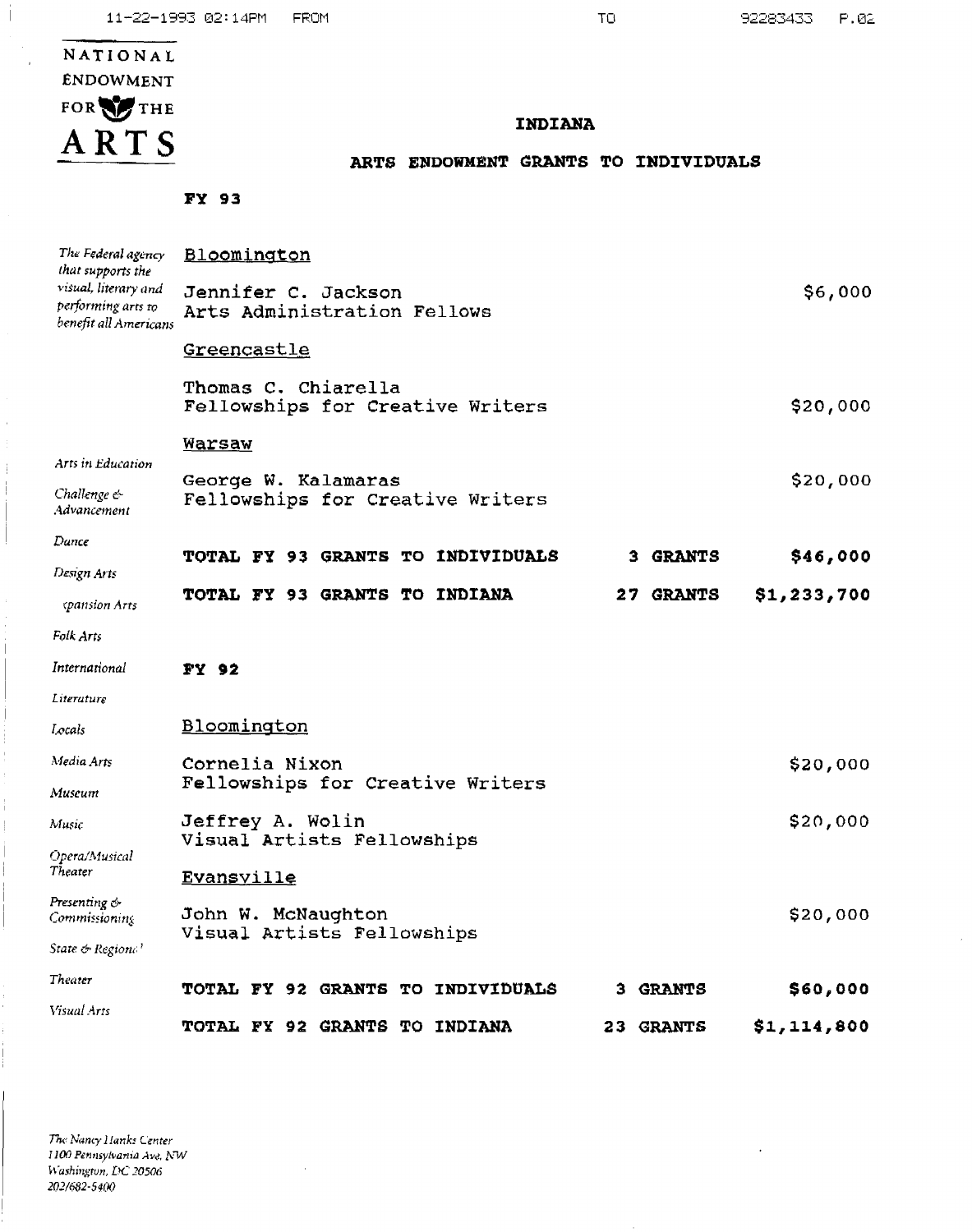92283433  $P.02$ 

 $\cdot$ 

# NATIONAL **ENDOWMENT** FOR THE ARTS

Ť

 $\overline{1}$ 

#### INDIANA

#### ARTS ENDOWMENT GRANTS TO INDIVIDUALS

FY 93

| The Federal agency<br>that supports the                             | Bloomington                                             |                  |             |
|---------------------------------------------------------------------|---------------------------------------------------------|------------------|-------------|
| visual, literary and<br>performing arts to<br>benefit all Americans | Jennifer C. Jackson<br>Arts Administration Fellows      |                  | \$6,000     |
|                                                                     | <u>Greencastle</u>                                      |                  |             |
|                                                                     | Thomas C. Chiarella<br>Fellowships for Creative Writers |                  | \$20,000    |
|                                                                     | <b>Warsaw</b>                                           |                  |             |
| Arts in Education<br>Challenge &<br>Advancement                     | George W. Kalamaras<br>Fellowships for Creative Writers |                  | \$20,000    |
| Dance                                                               | TOTAL FY 93 GRANTS TO INDIVIDUALS                       | 3 GRANTS         | \$46,000    |
| Design Arts                                                         | <b>TOTAL FY 93 GRANTS TO INDIANA</b>                    | <b>27 GRANTS</b> | \$1,233,700 |
| cpansion Arts                                                       |                                                         |                  |             |
| Folk Arts                                                           |                                                         |                  |             |
| International                                                       | FY 92                                                   |                  |             |
| Literature                                                          |                                                         |                  |             |
| Locais                                                              | Bloomington                                             |                  |             |
| Media Arts                                                          | Cornelia Nixon                                          |                  | \$20,000    |
| Museum                                                              | Fellowships for Creative Writers                        |                  |             |
| Music                                                               | Jeffrey A. Wolin                                        |                  | \$20,000    |
| Opera/Musical<br>Theater                                            | Visual Artists Fellowships<br>Evansville                |                  |             |
| Presenting &<br>Commissioning                                       | John W. McNaughton<br>Visual Artists Fellowships        |                  | \$20,000    |
| State & Regione '                                                   |                                                         |                  |             |
| Theater                                                             | <b>TOTAL FY 92 GRANTS TO INDIVIDUALS</b>                | <b>3 GRANTS</b>  | \$60,000    |
| Visual Arts                                                         | <b>TOTAL FY 92 GRANTS TO INDIANA</b>                    | 23 GRANTS        | \$1,114,800 |

 $\bar{z}$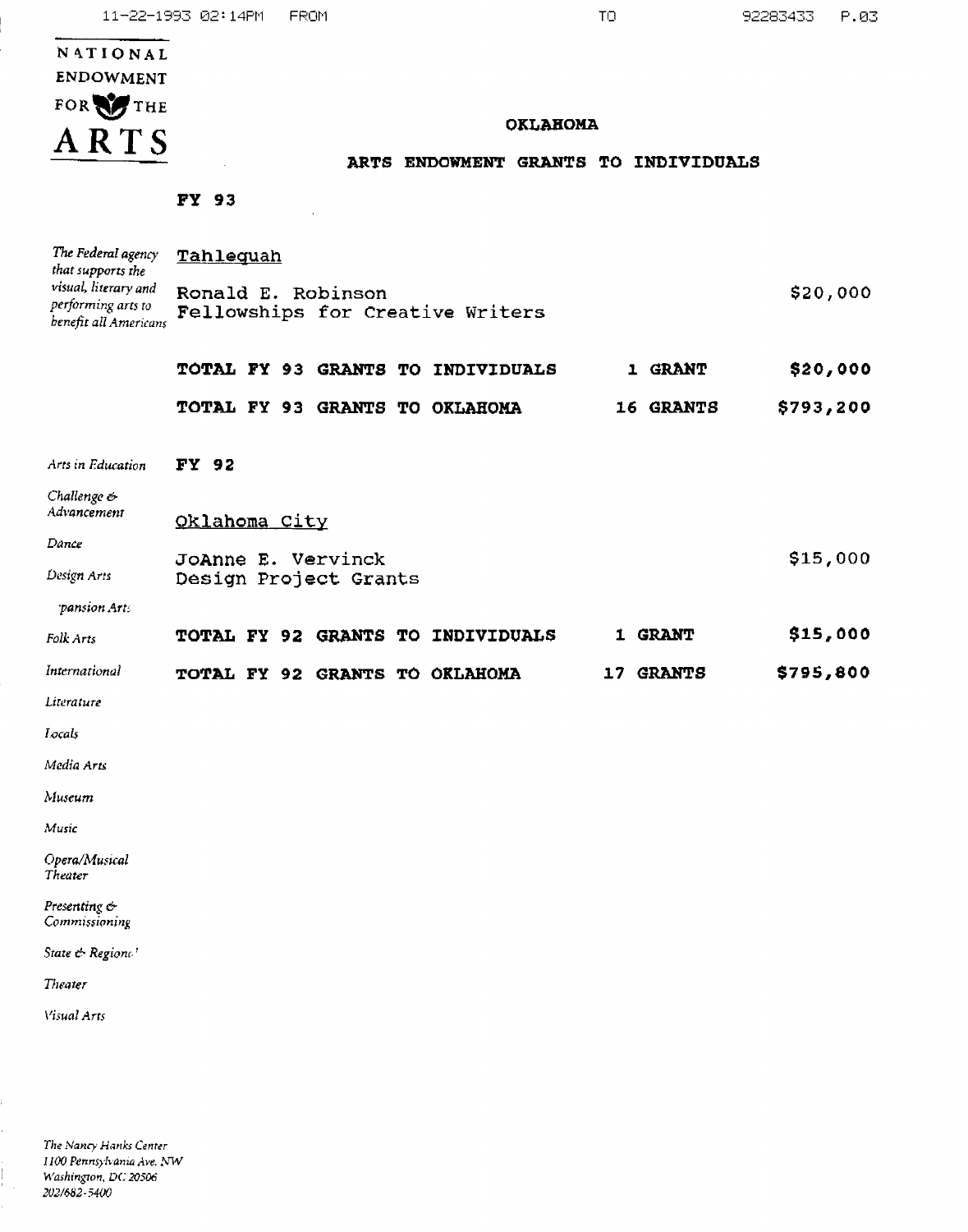|                                                                     | 11-22-1993 02:14PM    | FROM |                                   | ТO                                   | 92283433  | P.03     |
|---------------------------------------------------------------------|-----------------------|------|-----------------------------------|--------------------------------------|-----------|----------|
| NATIONAL                                                            |                       |      |                                   |                                      |           |          |
| <b>ENDOWMENT</b>                                                    |                       |      |                                   |                                      |           |          |
| FOR THE                                                             |                       |      |                                   |                                      |           |          |
| ARTS                                                                |                       |      | <b>OKLAHOMA</b>                   |                                      |           |          |
|                                                                     |                       |      |                                   | ARTS ENDOWMENT GRANTS TO INDIVIDUALS |           |          |
|                                                                     | <b>FY 93</b>          |      |                                   |                                      |           |          |
| The Federal agency<br>that supports the                             | Tahlequah             |      |                                   |                                      |           |          |
| visual, literary and<br>performing arts to<br>benefit all Americans | Ronald E. Robinson    |      | Fellowships for Creative Writers  |                                      |           | \$20,000 |
|                                                                     |                       |      | TOTAL FY 93 GRANTS TO INDIVIDUALS | <b>1 GRANT</b>                       |           | \$20,000 |
|                                                                     |                       |      | TOTAL FY 93 GRANTS TO OKLAHOMA    | 16 GRANTS                            | \$793,200 |          |
| Arts in Education                                                   | <b>FY 92</b>          |      |                                   |                                      |           |          |
| Challenge $\phi$<br>Advancement                                     | Oklahoma City         |      |                                   |                                      |           |          |
| Dance                                                               | JoAnne E. Vervinck    |      |                                   |                                      | \$15,000  |          |
| Design Arts                                                         | Design Project Grants |      |                                   |                                      |           |          |
| pansion Arts                                                        |                       |      |                                   |                                      |           |          |
| Folk Arts                                                           |                       |      | TOTAL FY 92 GRANTS TO INDIVIDUALS | 1 GRANT                              | \$15,000  |          |
| International                                                       |                       |      | TOTAL FY 92 GRANTS TO OKLAHOMA    | 17 GRANTS                            | \$795,800 |          |
| Literature                                                          |                       |      |                                   |                                      |           |          |
| Locals                                                              |                       |      |                                   |                                      |           |          |
| Media Arts                                                          |                       |      |                                   |                                      |           |          |
| Museum                                                              |                       |      |                                   |                                      |           |          |
| Music                                                               |                       |      |                                   |                                      |           |          |
| Opera/Musical<br>Theater                                            |                       |      |                                   |                                      |           |          |
| Presenting &<br>Commissioning                                       |                       |      |                                   |                                      |           |          |
| State & Regione'                                                    |                       |      |                                   |                                      |           |          |
| Theater                                                             |                       |      |                                   |                                      |           |          |

Visual Arts

The Nancy Hanks Center<br>1100 Pennsylvania Ave. NW Washington, DC 20506<br>202/682-5400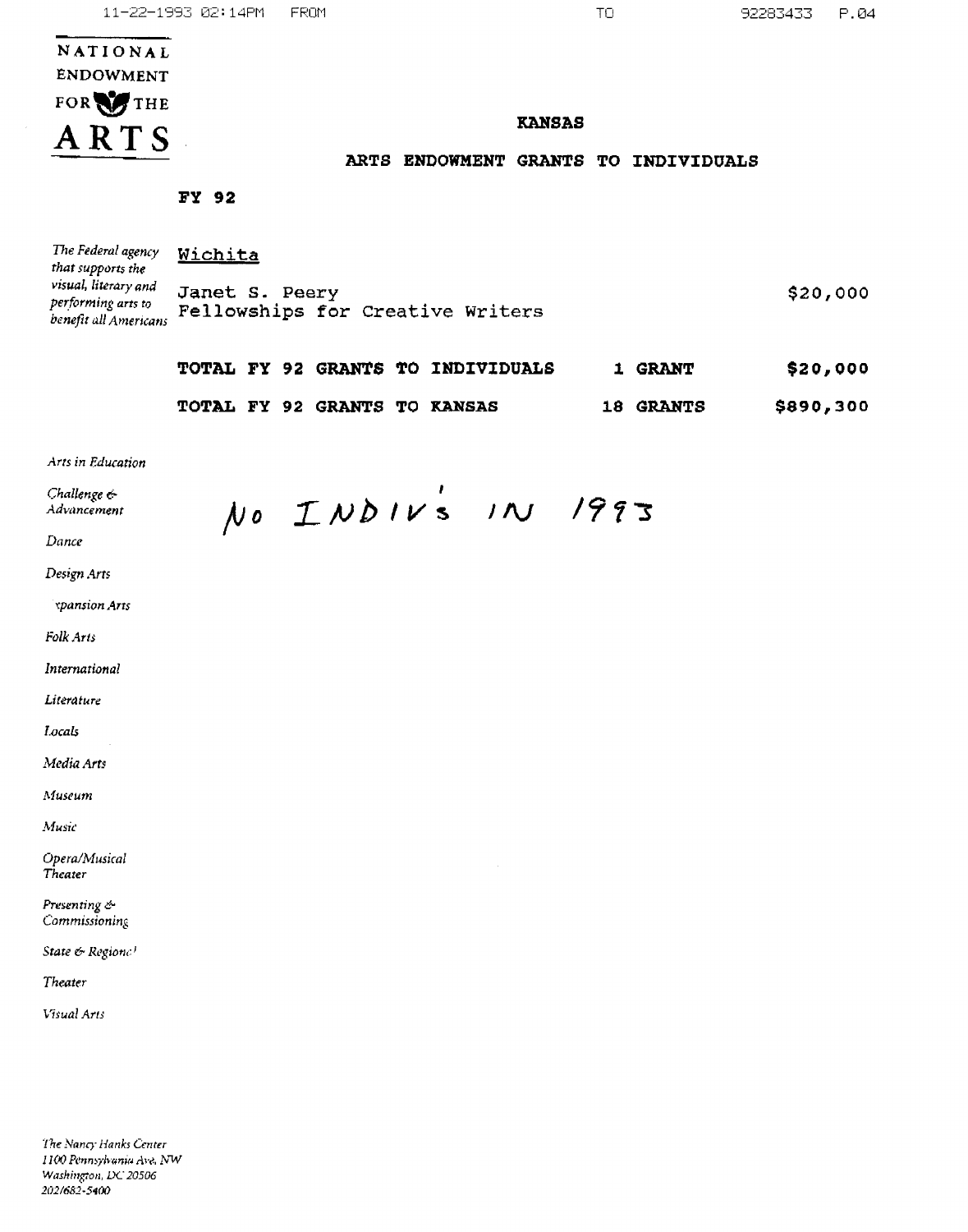| NATIONAL  |  |  |  |  |
|-----------|--|--|--|--|
| ENDOWMENT |  |  |  |  |
| FOR THE   |  |  |  |  |
| ARTS      |  |  |  |  |

#### **KANSAS**

#### ARTS ENDOWMENT GRANTS TO INDIVIDUALS

FY 92

| The Federal agency<br>that supports the                             | Wichita                                            |          |
|---------------------------------------------------------------------|----------------------------------------------------|----------|
| visual, literary and<br>performing arts to<br>benefit all Americans | Janet S. Peery<br>Fellowships for Creative Writers | \$20,000 |

|  |                                     | TOTAL FY 92 GRANTS TO INDIVIDUALS | <b>1 GRANT</b>   | \$20,000  |
|--|-------------------------------------|-----------------------------------|------------------|-----------|
|  | <b>TOTAL FY 92 GRANTS TO KANSAS</b> |                                   | <b>18 GRANTS</b> | \$890,300 |

Arts in Education

| Challenge $\epsilon$<br>Advancement | $\mathcal N$ o | INDIVS IN 1993 |  |
|-------------------------------------|----------------|----------------|--|
| Dance                               |                |                |  |
| Design Arts                         |                |                |  |
| <i><b>xpansion Arts</b></i>         |                |                |  |
| Folk Arts                           |                |                |  |
| International                       |                |                |  |
| Literature                          |                |                |  |
| Locals                              |                |                |  |
| Media Arts                          |                |                |  |
| Museum                              |                |                |  |
| Music                               |                |                |  |
| Opera/Musical<br>Theater            |                |                |  |

Presenting  $\in$ Commissioning

State & Regione!

Theater

Visual Arts

The Nancy Hanks Center 1100 Pennsylvania Ave. NW Washington, DC 20506 202/682-5400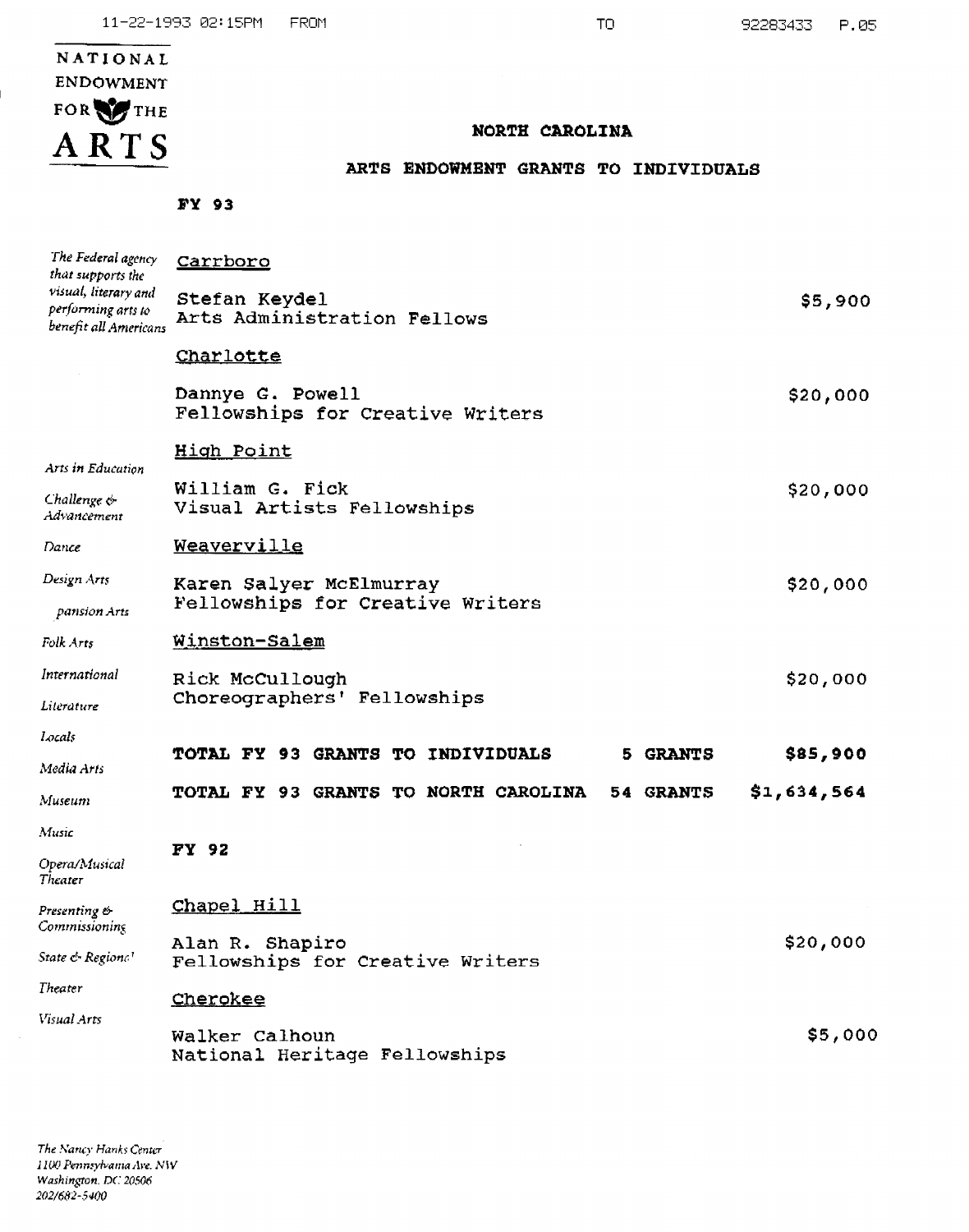# NATIONAL ENDOWMENT FOR THE ARTS

#### NORTH CAROLINA

### ARTS ENDOWMENT GRANTS TO INDIVIDUALS

FY 93

| The Federal agency<br>that supports the                             | Carrboro                                             |                 |             |
|---------------------------------------------------------------------|------------------------------------------------------|-----------------|-------------|
| visual, literary and<br>performing arts to<br>benefit all Americans | Stefan Keydel<br>Arts Administration Fellows         |                 | \$5,900     |
|                                                                     | Charlotte                                            |                 |             |
|                                                                     | Dannye G. Powell<br>Fellowships for Creative Writers |                 | \$20,000    |
| Arts in Education                                                   | High Point                                           |                 |             |
| Challenge &<br>Advancement                                          | William G. Fick<br>Visual Artists Fellowships        |                 | \$20,000    |
| Dance                                                               | Weaverville                                          |                 |             |
| Design Arts                                                         | Karen Salyer McElmurray                              |                 | \$20,000    |
| pansion Arts                                                        | Fellowships for Creative Writers                     |                 |             |
| Folk Arts                                                           | Winston-Salem                                        |                 |             |
| International                                                       | Rick McCullough                                      |                 | \$20,000    |
| Literature                                                          | Choreographers' Fellowships                          |                 |             |
| Locals                                                              |                                                      |                 |             |
| Media Arts                                                          | TOTAL FY 93 GRANTS TO INDIVIDUALS                    | <b>5 GRANTS</b> | \$85,900    |
| Museum                                                              | TOTAL FY 93 GRANTS TO NORTH CAROLINA                 | 54 GRANTS       | \$1,634,564 |
| Music                                                               |                                                      |                 |             |
| Opera/Musical<br>Theater                                            | FY 92                                                |                 |             |
| Presenting &<br>Commissioning                                       | Chapel Hill                                          |                 |             |
| State & Regiona!                                                    | Alan R. Shapiro<br>Fellowships for Creative Writers  |                 | \$20,000    |
| Theater                                                             | Cherokee                                             |                 |             |
| Visual Arts                                                         | Walker Calhoun                                       |                 | \$5,000     |
|                                                                     | National Heritage Fellowships                        |                 |             |

The Nancy Hanks Center 1100 Pennsylvania Ave. NW Washington, DC 20506 202/682-5400